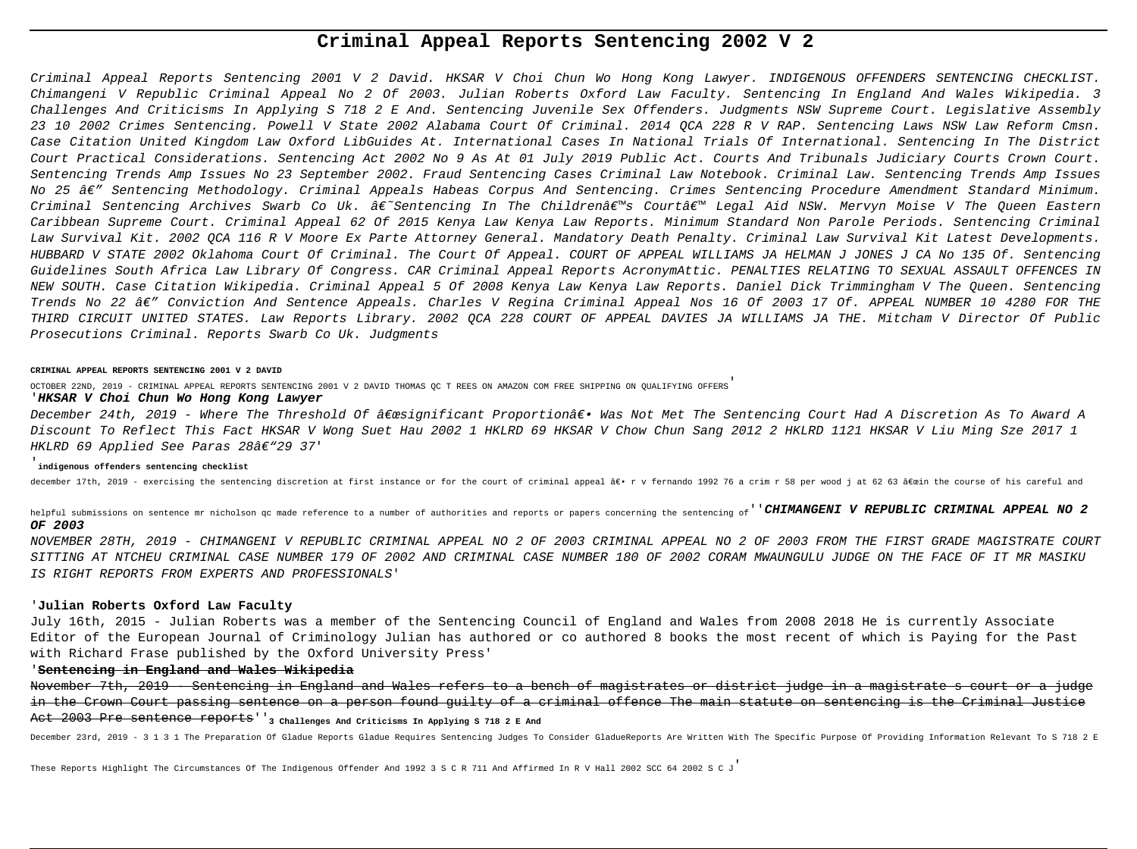## **Criminal Appeal Reports Sentencing 2002 V 2**

Criminal Appeal Reports Sentencing 2001 V 2 David. HKSAR V Choi Chun Wo Hong Kong Lawyer. INDIGENOUS OFFENDERS SENTENCING CHECKLIST. Chimangeni V Republic Criminal Appeal No 2 Of 2003. Julian Roberts Oxford Law Faculty. Sentencing In England And Wales Wikipedia. 3 Challenges And Criticisms In Applying S 718 2 E And. Sentencing Juvenile Sex Offenders. Judgments NSW Supreme Court. Legislative Assembly 23 10 2002 Crimes Sentencing. Powell V State 2002 Alabama Court Of Criminal. 2014 QCA 228 R V RAP. Sentencing Laws NSW Law Reform Cmsn. Case Citation United Kingdom Law Oxford LibGuides At. International Cases In National Trials Of International. Sentencing In The District Court Practical Considerations. Sentencing Act 2002 No 9 As At 01 July 2019 Public Act. Courts And Tribunals Judiciary Courts Crown Court. Sentencing Trends Amp Issues No 23 September 2002. Fraud Sentencing Cases Criminal Law Notebook. Criminal Law. Sentencing Trends Amp Issues No 25 — Sentencing Methodology. Criminal Appeals Habeas Corpus And Sentencing. Crimes Sentencing Procedure Amendment Standard Minimum. Criminal Sentencing Archives Swarb Co Uk. â€~Sentencing In The Children's Court' Legal Aid NSW. Mervyn Moise V The Oueen Eastern Caribbean Supreme Court. Criminal Appeal 62 Of 2015 Kenya Law Kenya Law Reports. Minimum Standard Non Parole Periods. Sentencing Criminal Law Survival Kit. 2002 QCA 116 R V Moore Ex Parte Attorney General. Mandatory Death Penalty. Criminal Law Survival Kit Latest Developments. HUBBARD V STATE 2002 Oklahoma Court Of Criminal. The Court Of Appeal. COURT OF APPEAL WILLIAMS JA HELMAN J JONES J CA No 135 Of. Sentencing Guidelines South Africa Law Library Of Congress. CAR Criminal Appeal Reports AcronymAttic. PENALTIES RELATING TO SEXUAL ASSAULT OFFENCES IN NEW SOUTH. Case Citation Wikipedia. Criminal Appeal 5 Of 2008 Kenya Law Kenya Law Reports. Daniel Dick Trimmingham V The Queen. Sentencing Trends No 22  $\hat{\bm{\alpha}}\epsilon''$  Conviction And Sentence Appeals. Charles V Regina Criminal Appeal Nos 16 Of 2003 17 Of. APPEAL NUMBER 10 4280 FOR THE THIRD CIRCUIT UNITED STATES. Law Reports Library. 2002 QCA 228 COURT OF APPEAL DAVIES JA WILLIAMS JA THE. Mitcham V Director Of Public Prosecutions Criminal. Reports Swarb Co Uk. Judgments

#### **CRIMINAL APPEAL REPORTS SENTENCING 2001 V 2 DAVID**

OCTOBER 22ND, 2019 - CRIMINAL APPEAL REPORTS SENTENCING 2001 V 2 DAVID THOMAS QC T REES ON AMAZON COM FREE SHIPPING ON QUALIFYING OFFERS'

#### '**HKSAR V Choi Chun Wo Hong Kong Lawyer**

December 24th, 2019 - Where The Threshold Of "significant Proportionâ€. Was Not Met The Sentencing Court Had A Discretion As To Award A Discount To Reflect This Fact HKSAR V Wong Suet Hau 2002 1 HKLRD 69 HKSAR V Chow Chun Sang 2012 2 HKLRD 1121 HKSAR V Liu Ming Sze 2017 1 HKLRD 69 Applied See Paras  $28\hat{a}\epsilon$ "29 37'

## '**indigenous offenders sentencing checklist**

december 17th, 2019 - exercising the sentencing discretion at first instance or for the court of criminal appeal ― r v fernando 1992 76 a crim r 58 per wood j at 62 63 "in the course of his careful and

helpful submissions on sentence mr nicholson qc made reference to a number of authorities and reports or papers concerning the sentencing of<sup>''</sup>CHIMANGENI V REPUBLIC CRIMINAL APPEAL NO 2 **OF 2003**

NOVEMBER 28TH, 2019 - CHIMANGENI V REPUBLIC CRIMINAL APPEAL NO 2 OF 2003 CRIMINAL APPEAL NO 2 OF 2003 FROM THE FIRST GRADE MAGISTRATE COURT SITTING AT NTCHEU CRIMINAL CASE NUMBER 179 OF 2002 AND CRIMINAL CASE NUMBER 180 OF 2002 CORAM MWAUNGULU JUDGE ON THE FACE OF IT MR MASIKU IS RIGHT REPORTS FROM EXPERTS AND PROFESSIONALS'

## '**Julian Roberts Oxford Law Faculty**

July 16th, 2015 - Julian Roberts was a member of the Sentencing Council of England and Wales from 2008 2018 He is currently Associate Editor of the European Journal of Criminology Julian has authored or co authored 8 books the most recent of which is Paying for the Past with Richard Frase published by the Oxford University Press'

## '**Sentencing in England and Wales Wikipedia**

November 7th, 2019 - Sentencing in England and Wales refers to a bench of magistrates or district judge in a magistrate s court or a in the Crown Court passing sentence on a person found guilty of a criminal offence The main statute on sentencing is the Criminal Justice Act 2003 Pre sentence reports''**3 Challenges And Criticisms In Applying S 718 2 E And**

December 23rd, 2019 - 3 1 3 1 The Preparation Of Gladue Reports Gladue Requires Sentencing Judges To Consider GladueReports Are Written With The Specific Purpose Of Providing Information Relevant To S 718 2 E

These Reports Highlight The Circumstances Of The Indigenous Offender And 1992 3 S C R 711 And Affirmed In R V Hall 2002 SCC 64 2002 S C J'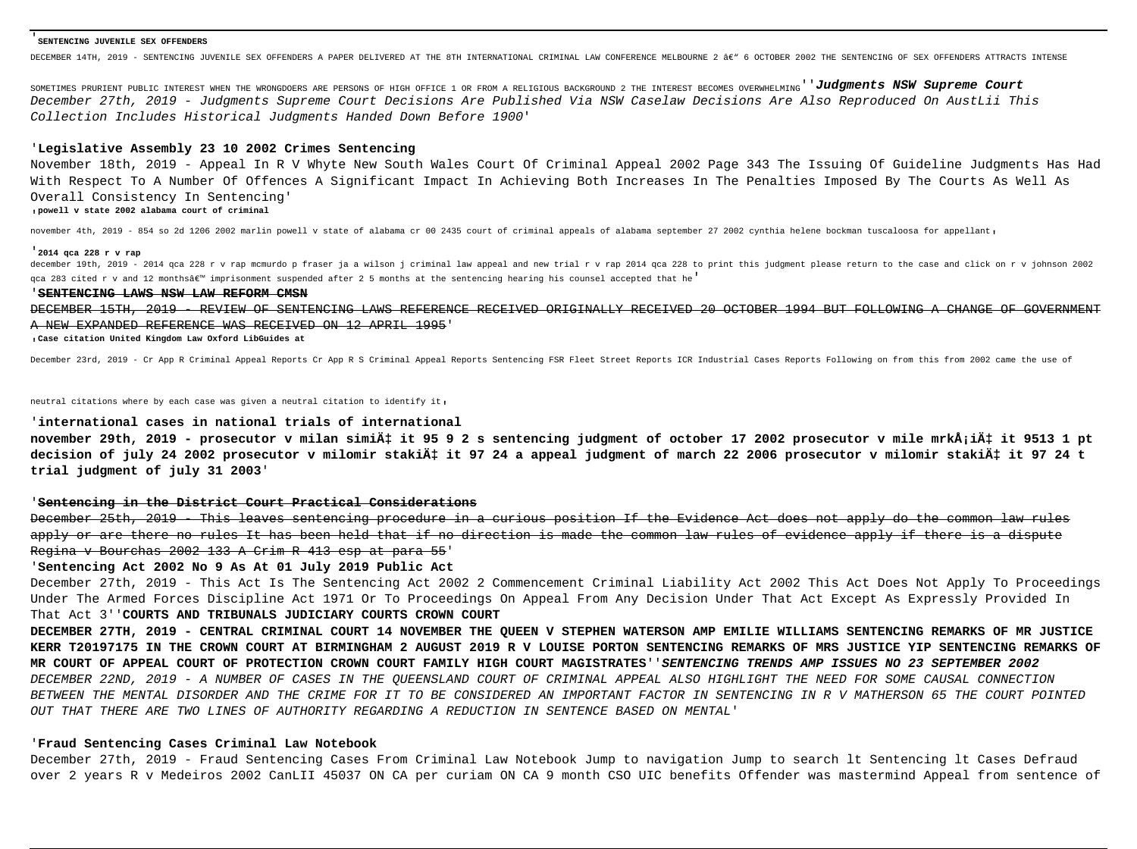#### '**SENTENCING JUVENILE SEX OFFENDERS**

DECEMBER 14TH, 2019 - SENTENCING JUVENILE SEX OFFENDERS A PAPER DELIVERED AT THE 8TH INTERNATIONAL CRIMINAL LAW CONFERENCE MELBOURNE 2 ' 6 OCTOBER 2002 THE SENTENCING OF SEX OFFENDERS ATTRACTS INTENSE

SOMETIMES PRURIENT PUBLIC INTEREST WHEN THE WRONGDOERS ARE PERSONS OF HIGH OFFICE 1 OR FROM A RELIGIOUS BACKGROUND 2 THE INTEREST BECOMES OVERWHELMING<sup>'</sup> Judgments NSW Supreme Court December 27th, 2019 - Judgments Supreme Court Decisions Are Published Via NSW Caselaw Decisions Are Also Reproduced On AustLii This Collection Includes Historical Judgments Handed Down Before 1900'

## '**Legislative Assembly 23 10 2002 Crimes Sentencing**

November 18th, 2019 - Appeal In R V Whyte New South Wales Court Of Criminal Appeal 2002 Page 343 The Issuing Of Guideline Judgments Has Had With Respect To A Number Of Offences A Significant Impact In Achieving Both Increases In The Penalties Imposed By The Courts As Well As Overall Consistency In Sentencing'

#### '**powell v state 2002 alabama court of criminal**

november 4th, 2019 - 854 so 2d 1206 2002 marlin powell v state of alabama cr 00 2435 court of criminal appeals of alabama september 27 2002 cynthia helene bockman tuscaloosa for appellant,

#### '**2014 qca 228 r v rap**

december 19th, 2019 - 2014 qca 228 r v rap mcmurdo p fraser ja a wilson j criminal law appeal and new trial r v rap 2014 qca 228 to print this judgment please return to the case and click on r v johnson 2002 gca 283 cited r v and 12 monthsâ $\varepsilon^{m}$  imprisonment suspended after 2 5 months at the sentencing hearing his counsel accepted that he<sup>'</sup>

#### '**SENTENCING LAWS NSW LAW REFORM CMSN**

DECEMBER 15TH, 2019 - REVIEW OF SENTENCING LAWS REFERENCE RECEIVED ORIGINALLY RECEIVED 20 OCTOBER 1994 BUT FOLLOWING A CHANGE OF GOVERNMENT A NEW EXPANDED REFERENCE WAS RECEIVED ON 12 APRIL 1995'

'**Case citation United Kingdom Law Oxford LibGuides at**

December 23rd, 2019 - Cr App R Criminal Appeal Reports Cr App R S Criminal Appeal Reports Sentencing FSR Fleet Street Reports ICR Industrial Cases Reports Following on from this from 2002 came the use of

neutral citations where by each case was given a neutral citation to identify it,

## '**international cases in national trials of international**

november 29th, 2019 - prosecutor v milan simić it 95 9 2 s sentencing judgment of october 17 2002 prosecutor v mile mrkå;ić it 9513 1 pt decision of july 24 2002 prosecutor v milomir stakić it 97 24 a appeal judgment of march 22 2006 prosecutor v milomir stakić it 97 24 t **trial judgment of july 31 2003**'

#### '**Sentencing in the District Court Practical Considerations**

December 25th, 2019 - This leaves sentencing procedure in a curious position If the Evidence Act does not apply do the common law rules apply or are there no rules It has been held that if no direction is made the common law rules of evidence apply if there is a dispute Regina v Bourchas 2002 133 A Crim R 413 esp at para 55'

### '**Sentencing Act 2002 No 9 As At 01 July 2019 Public Act**

December 27th, 2019 - This Act Is The Sentencing Act 2002 2 Commencement Criminal Liability Act 2002 This Act Does Not Apply To Proceedings Under The Armed Forces Discipline Act 1971 Or To Proceedings On Appeal From Any Decision Under That Act Except As Expressly Provided In That Act 3''**COURTS AND TRIBUNALS JUDICIARY COURTS CROWN COURT**

**DECEMBER 27TH, 2019 - CENTRAL CRIMINAL COURT 14 NOVEMBER THE QUEEN V STEPHEN WATERSON AMP EMILIE WILLIAMS SENTENCING REMARKS OF MR JUSTICE KERR T20197175 IN THE CROWN COURT AT BIRMINGHAM 2 AUGUST 2019 R V LOUISE PORTON SENTENCING REMARKS OF MRS JUSTICE YIP SENTENCING REMARKS OF MR COURT OF APPEAL COURT OF PROTECTION CROWN COURT FAMILY HIGH COURT MAGISTRATES**''**SENTENCING TRENDS AMP ISSUES NO 23 SEPTEMBER 2002** DECEMBER 22ND, 2019 - A NUMBER OF CASES IN THE QUEENSLAND COURT OF CRIMINAL APPEAL ALSO HIGHLIGHT THE NEED FOR SOME CAUSAL CONNECTION BETWEEN THE MENTAL DISORDER AND THE CRIME FOR IT TO BE CONSIDERED AN IMPORTANT FACTOR IN SENTENCING IN R V MATHERSON 65 THE COURT POINTED OUT THAT THERE ARE TWO LINES OF AUTHORITY REGARDING A REDUCTION IN SENTENCE BASED ON MENTAL'

#### '**Fraud Sentencing Cases Criminal Law Notebook**

December 27th, 2019 - Fraud Sentencing Cases From Criminal Law Notebook Jump to navigation Jump to search lt Sentencing lt Cases Defraud over 2 years R v Medeiros 2002 CanLII 45037 ON CA per curiam ON CA 9 month CSO UIC benefits Offender was mastermind Appeal from sentence of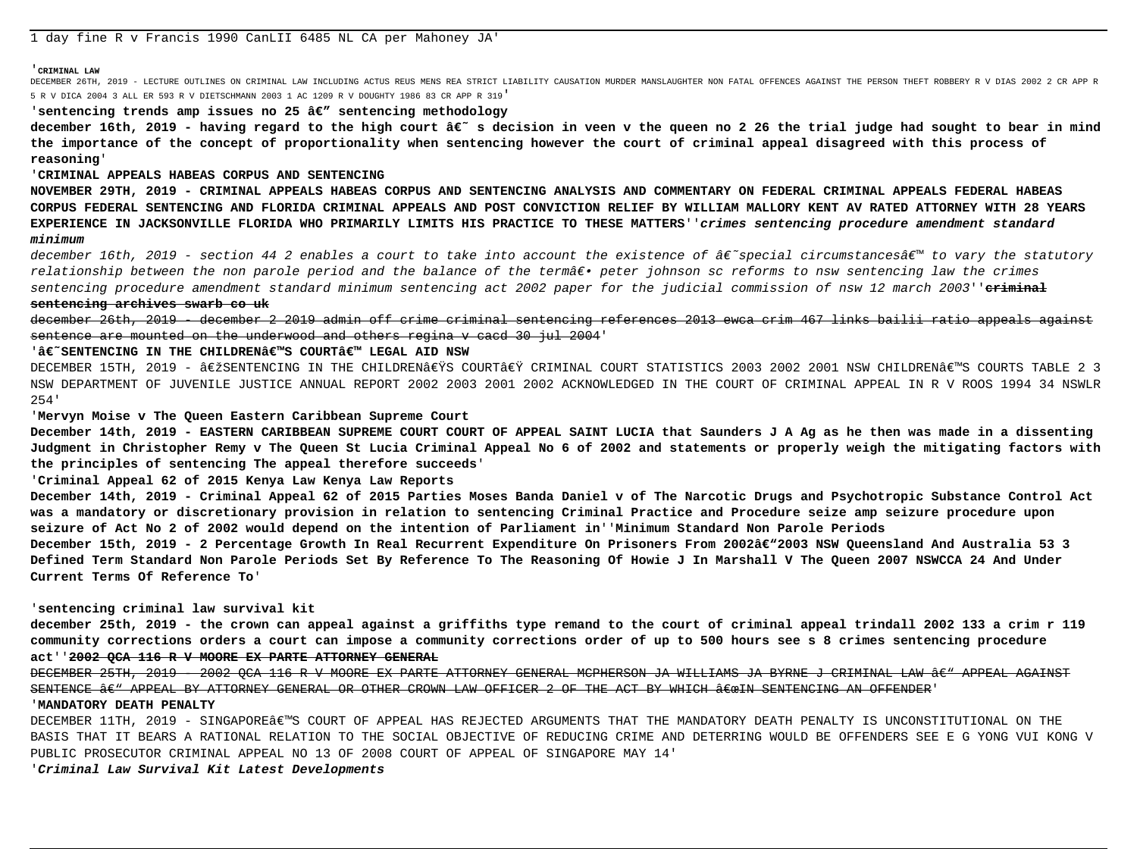#### '**CRIMINAL LAW**

DECEMBER 26TH, 2019 - LECTURE OUTLINES ON CRIMINAL LAW INCLUDING ACTUS REUS MENS REA STRICT LIABILITY CAUSATION MURDER MANSLAUGHTER NON FATAL OFFENCES AGAINST THE PERSON THEFT ROBBERY R V DIAS 2002 2 CR APP R 5 R V DICA 2004 3 ALL ER 593 R V DIETSCHMANN 2003 1 AC 1209 R V DOUGHTY 1986 83 CR APP R 319'

## 'sentencing trends amp issues no  $25$   $\hat{\alpha} \in \mathcal{C}$  sentencing methodology

december 16th, 2019 - having regard to the high court â€~ s decision in veen v the queen no 2 26 the trial judge had sought to bear in mind **the importance of the concept of proportionality when sentencing however the court of criminal appeal disagreed with this process of reasoning**'

## '**CRIMINAL APPEALS HABEAS CORPUS AND SENTENCING**

**NOVEMBER 29TH, 2019 - CRIMINAL APPEALS HABEAS CORPUS AND SENTENCING ANALYSIS AND COMMENTARY ON FEDERAL CRIMINAL APPEALS FEDERAL HABEAS CORPUS FEDERAL SENTENCING AND FLORIDA CRIMINAL APPEALS AND POST CONVICTION RELIEF BY WILLIAM MALLORY KENT AV RATED ATTORNEY WITH 28 YEARS EXPERIENCE IN JACKSONVILLE FLORIDA WHO PRIMARILY LIMITS HIS PRACTICE TO THESE MATTERS**''**crimes sentencing procedure amendment standard minimum**

december 16th, 2019 - section 44 2 enables a court to take into account the existence of  $\hat{\pi} \in \hat{C}$  are existences $\hat{\pi}^w$  to vary the statutory relationship between the non parole period and the balance of the termâ $\epsilon$ • peter johnson sc reforms to nsw sentencing law the crimes sentencing procedure amendment standard minimum sentencing act 2002 paper for the judicial commission of nsw 12 march 2003''**criminal sentencing archives swarb co uk**

december 26th, 2019 - december 2 2019 admin off crime criminal sentencing references 2013 ewca crim 467 links bailii ratio appeals against sentence are mounted on the underwood and others regina v cacd 30 jul 2004'

## 'â€<sup>~</sup>SENTENCING IN THE CHILDREN€™S COURT€™ LEGAL AID NSW

DECEMBER 15TH, 2019 - ‎SENTENCING IN THE CHILDREN€ŸS COURT€Ÿ CRIMINAL COURT STATISTICS 2003 2002 2001 NSW CHILDREN€™S COURTS TABLE 2 3 NSW DEPARTMENT OF JUVENILE JUSTICE ANNUAL REPORT 2002 2003 2001 2002 ACKNOWLEDGED IN THE COURT OF CRIMINAL APPEAL IN R V ROOS 1994 34 NSWLR 254'

## '**Mervyn Moise v The Queen Eastern Caribbean Supreme Court**

**December 14th, 2019 - EASTERN CARIBBEAN SUPREME COURT COURT OF APPEAL SAINT LUCIA that Saunders J A Ag as he then was made in a dissenting Judgment in Christopher Remy v The Queen St Lucia Criminal Appeal No 6 of 2002 and statements or properly weigh the mitigating factors with the principles of sentencing The appeal therefore succeeds**'

## '**Criminal Appeal 62 of 2015 Kenya Law Kenya Law Reports**

**December 14th, 2019 - Criminal Appeal 62 of 2015 Parties Moses Banda Daniel v of The Narcotic Drugs and Psychotropic Substance Control Act was a mandatory or discretionary provision in relation to sentencing Criminal Practice and Procedure seize amp seizure procedure upon seizure of Act No 2 of 2002 would depend on the intention of Parliament in**''**Minimum Standard Non Parole Periods**

December 15th, 2019 - 2 Percentage Growth In Real Recurrent Expenditure On Prisoners From 2002'2003 NSW Queensland And Australia 53 3 **Defined Term Standard Non Parole Periods Set By Reference To The Reasoning Of Howie J In Marshall V The Queen 2007 NSWCCA 24 And Under Current Terms Of Reference To**'

## '**sentencing criminal law survival kit**

**december 25th, 2019 - the crown can appeal against a griffiths type remand to the court of criminal appeal trindall 2002 133 a crim r 119 community corrections orders a court can impose a community corrections order of up to 500 hours see s 8 crimes sentencing procedure act**''**2002 QCA 116 R V MOORE EX PARTE ATTORNEY GENERAL**

DECEMBER 25TH, 2019 - 2002 OCA 116 R V MOORE EX PARTE ATTORNEY GENERAL MCPHERSON JA WILLIAMS JA BYRNE J CRIMINAL LAW ' APPEAL AGAINST SENTENCE  $\hat{a}\in$ " APPEAL BY ATTORNEY GENERAL OR OTHER CROWN LAW OFFICER 2 OF THE ACT BY WHICH  $\hat{a}\in$  and  $S$  and  $S$  and  $S$  and  $S$  and  $S$  and  $S$  and  $S$  and  $S$  and  $S$  and  $S$  and  $S$  and  $S$  and  $S$  and  $S$  and

#### '**MANDATORY DEATH PENALTY**

DECEMBER 11TH, 2019 - SINGAPORE'S COURT OF APPEAL HAS REJECTED ARGUMENTS THAT THE MANDATORY DEATH PENALTY IS UNCONSTITUTIONAL ON THE BASIS THAT IT BEARS A RATIONAL RELATION TO THE SOCIAL OBJECTIVE OF REDUCING CRIME AND DETERRING WOULD BE OFFENDERS SEE E G YONG VUI KONG V PUBLIC PROSECUTOR CRIMINAL APPEAL NO 13 OF 2008 COURT OF APPEAL OF SINGAPORE MAY 14'

'**Criminal Law Survival Kit Latest Developments**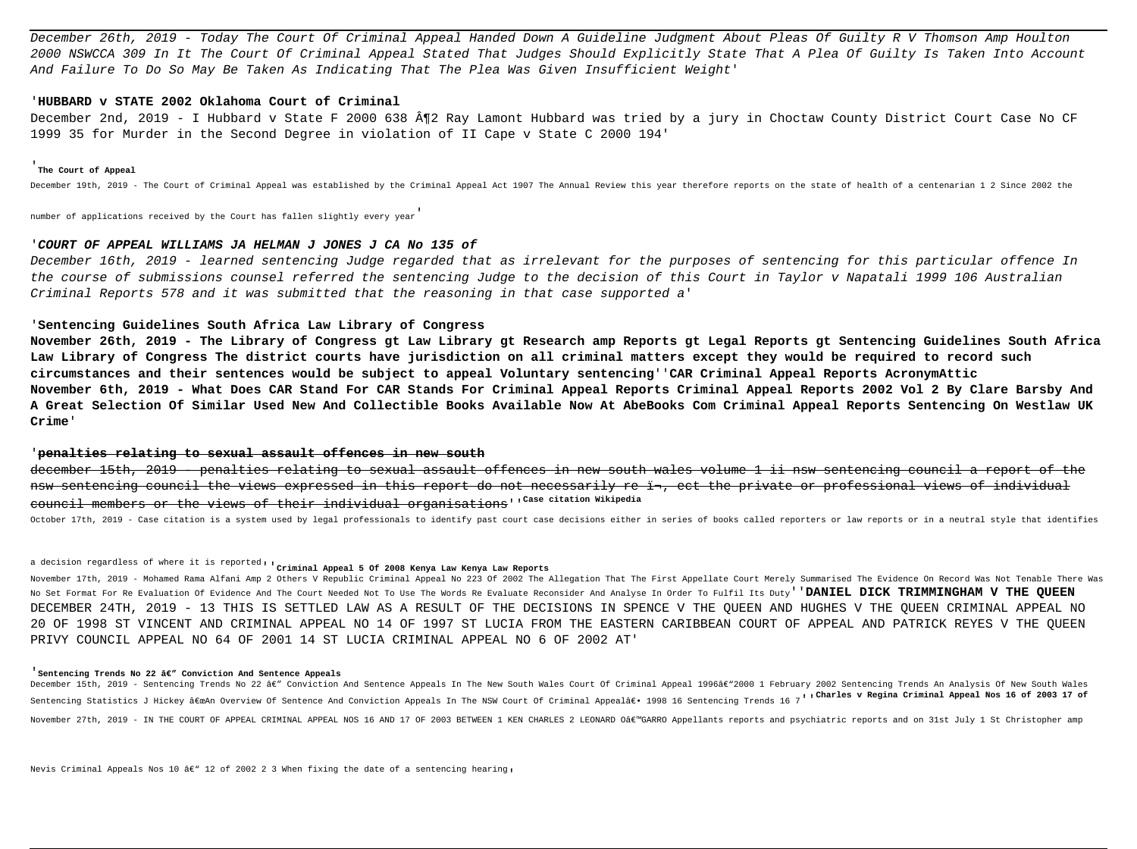December 26th, 2019 - Today The Court Of Criminal Appeal Handed Down A Guideline Judgment About Pleas Of Guilty R V Thomson Amp Houlton 2000 NSWCCA 309 In It The Court Of Criminal Appeal Stated That Judges Should Explicitly State That A Plea Of Guilty Is Taken Into Account And Failure To Do So May Be Taken As Indicating That The Plea Was Given Insufficient Weight'

## '**HUBBARD v STATE 2002 Oklahoma Court of Criminal**

December 2nd, 2019 - I Hubbard v State F 2000 638 ¶2 Ray Lamont Hubbard was tried by a jury in Choctaw County District Court Case No CF 1999 35 for Murder in the Second Degree in violation of II Cape v State C 2000 194'

#### '**The Court of Appeal**

December 19th, 2019 - The Court of Criminal Appeal was established by the Criminal Appeal Act 1907 The Annual Review this year therefore reports on the state of health of a centenarian 1 2 Since 2002 the

number of applications received by the Court has fallen slightly every year'

## '**COURT OF APPEAL WILLIAMS JA HELMAN J JONES J CA No 135 of**

December 16th, 2019 - learned sentencing Judge regarded that as irrelevant for the purposes of sentencing for this particular offence In the course of submissions counsel referred the sentencing Judge to the decision of this Court in Taylor v Napatali 1999 106 Australian Criminal Reports 578 and it was submitted that the reasoning in that case supported a'

## '**Sentencing Guidelines South Africa Law Library of Congress**

**November 26th, 2019 - The Library of Congress gt Law Library gt Research amp Reports gt Legal Reports gt Sentencing Guidelines South Africa Law Library of Congress The district courts have jurisdiction on all criminal matters except they would be required to record such circumstances and their sentences would be subject to appeal Voluntary sentencing**''**CAR Criminal Appeal Reports AcronymAttic November 6th, 2019 - What Does CAR Stand For CAR Stands For Criminal Appeal Reports Criminal Appeal Reports 2002 Vol 2 By Clare Barsby And A Great Selection Of Similar Used New And Collectible Books Available Now At AbeBooks Com Criminal Appeal Reports Sentencing On Westlaw UK Crime**'

#### '**penalties relating to sexual assault offences in new south**

december 15th, 2019 - penalties relating to sexual assault offences in new south wales volume 1 ii nsw sentencing council a report of the nsw sentencing council the views expressed in this report do not necessarily re in, ect the private or professional views of individual council members or the views of their individual organisations''**Case citation Wikipedia**

October 17th, 2019 - Case citation is a system used by legal professionals to identify past court case decisions either in series of books called reporters or law reports or in a neutral style that identifies

# a decision regardless of where it is reported''**Criminal Appeal 5 Of 2008 Kenya Law Kenya Law Reports**

November 17th, 2019 - Mohamed Rama Alfani Amp 2 Others V Republic Criminal Appeal No 223 Of 2002 The Allegation That The First Appellate Court Merely Summarised The Evidence On Record Was Not Tenable There Was No Set Format For Re Evaluation Of Evidence And The Court Needed Not To Use The Words Re Evaluate Reconsider And Analyse In Order To Fulfil Its Duty''**DANIEL DICK TRIMMINGHAM V THE QUEEN** DECEMBER 24TH, 2019 - 13 THIS IS SETTLED LAW AS A RESULT OF THE DECISIONS IN SPENCE V THE QUEEN AND HUGHES V THE QUEEN CRIMINAL APPEAL NO 20 OF 1998 ST VINCENT AND CRIMINAL APPEAL NO 14 OF 1997 ST LUCIA FROM THE EASTERN CARIBBEAN COURT OF APPEAL AND PATRICK REYES V THE QUEEN PRIVY COUNCIL APPEAL NO 64 OF 2001 14 ST LUCIA CRIMINAL APPEAL NO 6 OF 2002 AT'

#### <sup>'</sup> Sentencing Trends No 22 â€" Conviction And Sentence Appeals

December 15th, 2019 - Sentencing Trends No 22 â€" Conviction And Sentence Appeals In The New South Wales Court Of Criminal Appeal 1996â€"2000 1 February 2002 Sentencing Trends An Analysis Of New South Wales Sentencing Statistics J Hickey "An Overview Of Sentence And Conviction Appeals In The NSW Court Of Criminal Appealâ€. 1998 16 Sentencing Trends 16 7''Charles v Regina Criminal Appeal Nos 16 of 2003 17 of November 27th, 2019 - IN THE COURT OF APPEAL CRIMINAL APPEAL NOS 16 AND 17 OF 2003 BETWEEN 1 KEN CHARLES 2 LEONARD O'GARRO Appellants reports and psychiatric reports and on 31st July 1 St Christopher amp

Nevis Criminal Appeals Nos 10 â€" 12 of 2002 2 3 When fixing the date of a sentencing hearing,